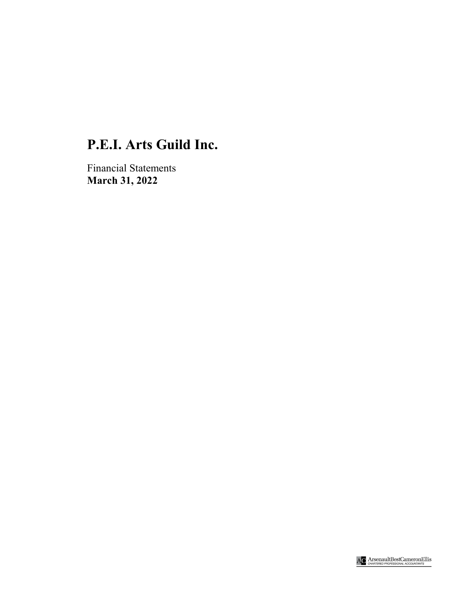Financial Statements **March 31, 2022**

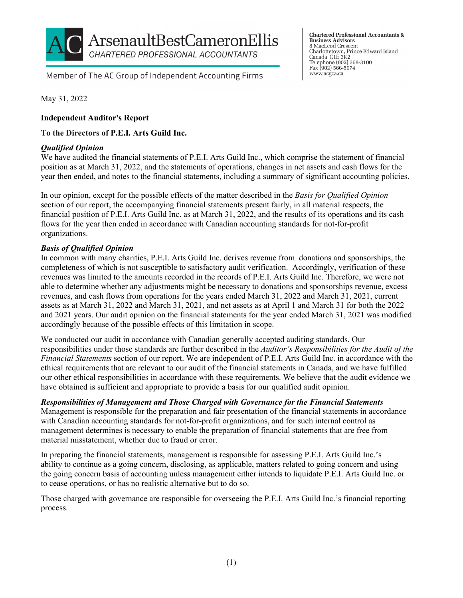

Member of The AC Group of Independent Accounting Firms

**Chartered Professional Accountants & Business Advisors** 8 MacLeod Crescent Charlottetown, Prince Edward Island Canada C1E 3K2 Telephone (902) 368-3100 Fax (902) 566-5074 www.acgca.ca

May 31, 2022

#### **Independent Auditor's Report**

**To the Directors of P.E.I. Arts Guild Inc.**

#### *Qualified Opinion*

We have audited the financial statements of P.E.I. Arts Guild Inc., which comprise the statement of financial position as at March 31, 2022, and the statements of operations, changes in net assets and cash flows for the year then ended, and notes to the financial statements, including a summary of significant accounting policies.

In our opinion, except for the possible effects of the matter described in the *Basis for Qualified Opinion* section of our report, the accompanying financial statements present fairly, in all material respects, the financial position of P.E.I. Arts Guild Inc. as at March 31, 2022, and the results of its operations and its cash flows for the year then ended in accordance with Canadian accounting standards for not-for-profit organizations.

#### *Basis of Qualified Opinion*

In common with many charities, P.E.I. Arts Guild Inc. derives revenue from donations and sponsorships, the completeness of which is not susceptible to satisfactory audit verification. Accordingly, verification of these revenues was limited to the amounts recorded in the records of P.E.I. Arts Guild Inc. Therefore, we were not able to determine whether any adjustments might be necessary to donations and sponsorships revenue, excess revenues, and cash flows from operations for the years ended March 31, 2022 and March 31, 2021, current assets as at March 31, 2022 and March 31, 2021, and net assets as at April 1 and March 31 for both the 2022 and 2021 years. Our audit opinion on the financial statements for the year ended March 31, 2021 was modified accordingly because of the possible effects of this limitation in scope.

We conducted our audit in accordance with Canadian generally accepted auditing standards. Our responsibilities under those standards are further described in the *Auditor's Responsibilities for the Audit of the Financial Statements* section of our report. We are independent of P.E.I. Arts Guild Inc. in accordance with the ethical requirements that are relevant to our audit of the financial statements in Canada, and we have fulfilled our other ethical responsibilities in accordance with these requirements. We believe that the audit evidence we have obtained is sufficient and appropriate to provide a basis for our qualified audit opinion.

#### *Responsibilities of Management and Those Charged with Governance for the Financial Statements*

Management is responsible for the preparation and fair presentation of the financial statements in accordance with Canadian accounting standards for not-for-profit organizations, and for such internal control as management determines is necessary to enable the preparation of financial statements that are free from material misstatement, whether due to fraud or error.

In preparing the financial statements, management is responsible for assessing P.E.I. Arts Guild Inc.'s ability to continue as a going concern, disclosing, as applicable, matters related to going concern and using the going concern basis of accounting unless management either intends to liquidate P.E.I. Arts Guild Inc. or to cease operations, or has no realistic alternative but to do so.

Those charged with governance are responsible for overseeing the P.E.I. Arts Guild Inc.'s financial reporting process.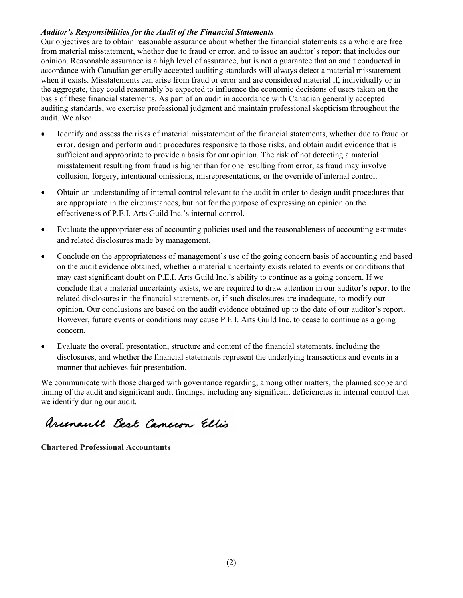#### *Auditor's Responsibilities for the Audit of the Financial Statements*

Our objectives are to obtain reasonable assurance about whether the financial statements as a whole are free from material misstatement, whether due to fraud or error, and to issue an auditor's report that includes our opinion. Reasonable assurance is a high level of assurance, but is not a guarantee that an audit conducted in accordance with Canadian generally accepted auditing standards will always detect a material misstatement when it exists. Misstatements can arise from fraud or error and are considered material if, individually or in the aggregate, they could reasonably be expected to influence the economic decisions of users taken on the basis of these financial statements. As part of an audit in accordance with Canadian generally accepted auditing standards, we exercise professional judgment and maintain professional skepticism throughout the audit. We also:

- Identify and assess the risks of material misstatement of the financial statements, whether due to fraud or error, design and perform audit procedures responsive to those risks, and obtain audit evidence that is sufficient and appropriate to provide a basis for our opinion. The risk of not detecting a material misstatement resulting from fraud is higher than for one resulting from error, as fraud may involve collusion, forgery, intentional omissions, misrepresentations, or the override of internal control.
- Obtain an understanding of internal control relevant to the audit in order to design audit procedures that are appropriate in the circumstances, but not for the purpose of expressing an opinion on the effectiveness of P.E.I. Arts Guild Inc.'s internal control.
- Evaluate the appropriateness of accounting policies used and the reasonableness of accounting estimates and related disclosures made by management.
- Conclude on the appropriateness of management's use of the going concern basis of accounting and based on the audit evidence obtained, whether a material uncertainty exists related to events or conditions that may cast significant doubt on P.E.I. Arts Guild Inc.'s ability to continue as a going concern. If we conclude that a material uncertainty exists, we are required to draw attention in our auditor's report to the related disclosures in the financial statements or, if such disclosures are inadequate, to modify our opinion. Our conclusions are based on the audit evidence obtained up to the date of our auditor's report. However, future events or conditions may cause P.E.I. Arts Guild Inc. to cease to continue as a going concern.
- Evaluate the overall presentation, structure and content of the financial statements, including the disclosures, and whether the financial statements represent the underlying transactions and events in a manner that achieves fair presentation.

We communicate with those charged with governance regarding, among other matters, the planned scope and timing of the audit and significant audit findings, including any significant deficiencies in internal control that we identify during our audit.

arenault Best Cameron Ellis

**Chartered Professional Accountants**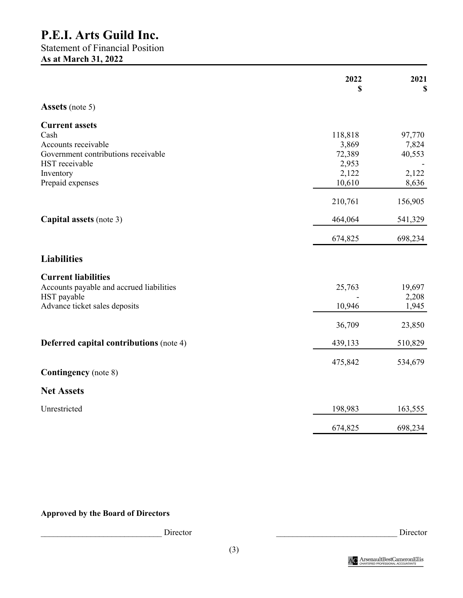Statement of Financial Position **As at March 31, 2022**

|                                                | 2022<br>S | 2021<br>\$ |
|------------------------------------------------|-----------|------------|
| <b>Assets</b> (note 5)                         |           |            |
| <b>Current assets</b>                          |           |            |
| Cash                                           | 118,818   | 97,770     |
| Accounts receivable                            | 3,869     | 7,824      |
| Government contributions receivable            | 72,389    | 40,553     |
| HST receivable                                 | 2,953     |            |
| Inventory                                      | 2,122     | 2,122      |
| Prepaid expenses                               | 10,610    | 8,636      |
|                                                | 210,761   | 156,905    |
| Capital assets (note 3)                        | 464,064   | 541,329    |
|                                                | 674,825   | 698,234    |
| <b>Liabilities</b>                             |           |            |
| <b>Current liabilities</b>                     |           |            |
| Accounts payable and accrued liabilities       | 25,763    | 19,697     |
| HST payable                                    |           | 2,208      |
| Advance ticket sales deposits                  | 10,946    | 1,945      |
|                                                | 36,709    | 23,850     |
| <b>Deferred capital contributions (note 4)</b> | 439,133   | 510,829    |
|                                                | 475,842   | 534,679    |
| <b>Contingency</b> (note 8)                    |           |            |
| <b>Net Assets</b>                              |           |            |
| Unrestricted                                   | 198,983   | 163,555    |
|                                                | 674,825   | 698,234    |
|                                                |           |            |

### **Approved by the Board of Directors**

Director **Director**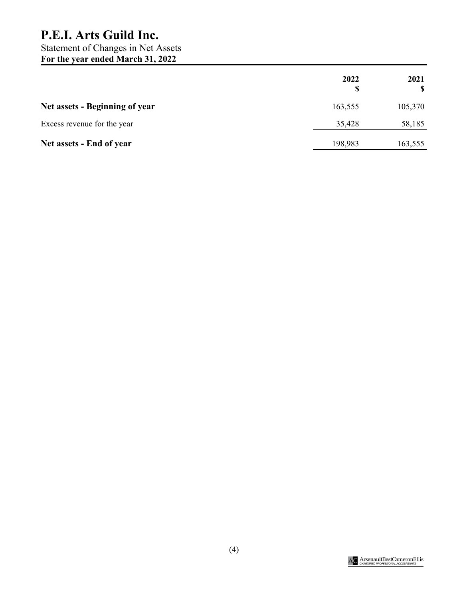Statement of Changes in Net Assets **For the year ended March 31, 2022**

|                                | 2022    | 2021<br><sup>\$</sup> |
|--------------------------------|---------|-----------------------|
| Net assets - Beginning of year | 163,555 | 105,370               |
| Excess revenue for the year    | 35,428  | 58,185                |
| Net assets - End of year       | 198,983 | 163,555               |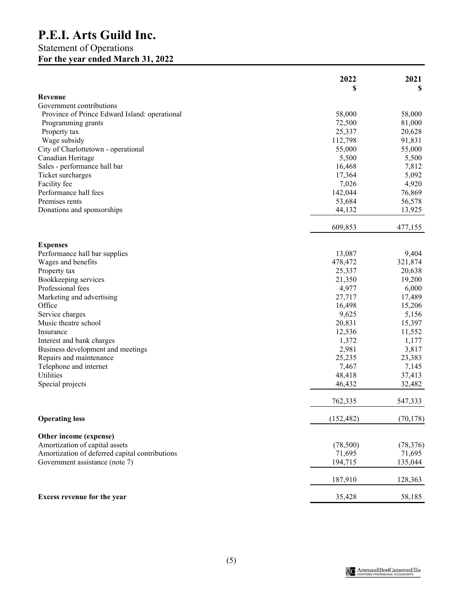## Statement of Operations **For the year ended March 31, 2022**

|                                                | 2022<br>\$ | 2021<br>\$ |
|------------------------------------------------|------------|------------|
| Revenue                                        |            |            |
| Government contributions                       |            |            |
| Province of Prince Edward Island: operational  | 58,000     | 58,000     |
| Programming grants                             | 72,500     | 81,000     |
| Property tax                                   | 25,337     | 20,628     |
| Wage subsidy                                   | 112,798    | 91,831     |
| City of Charlottetown - operational            | 55,000     | 55,000     |
| Canadian Heritage                              | 5,500      | 5,500      |
| Sales - performance hall bar                   | 16,468     | 7,812      |
| Ticket surcharges                              | 17,364     | 5,092      |
| Facility fee                                   | 7,026      | 4,920      |
| Performance hall fees                          | 142,044    | 76,869     |
| Premises rents                                 | 53,684     | 56,578     |
| Donations and sponsorships                     | 44,132     | 13,925     |
|                                                | 609,853    | 477,155    |
| <b>Expenses</b>                                |            |            |
| Performance hall bar supplies                  | 13,087     | 9,404      |
| Wages and benefits                             | 478,472    | 321,874    |
| Property tax                                   | 25,337     | 20,638     |
| Bookkeeping services                           | 21,350     | 19,200     |
| Professional fees                              | 4,977      | 6,000      |
| Marketing and advertising                      | 27,717     | 17,489     |
| Office                                         | 16,498     | 15,206     |
| Service charges                                | 9,625      | 5,156      |
| Music theatre school                           | 20,831     | 15,397     |
| Insurance                                      | 12,536     | 11,552     |
| Interest and bank charges                      | 1,372      | 1,177      |
|                                                | 2,981      | 3,817      |
| Business development and meetings              |            |            |
| Repairs and maintenance                        | 25,235     | 23,383     |
| Telephone and internet                         | 7,467      | 7,145      |
| Utilities                                      | 48,418     | 37,413     |
| Special projects                               | 46,432     | 32,482     |
|                                                | 762,335    | 547,333    |
| <b>Operating loss</b>                          | (152, 482) | (70, 178)  |
| Other income (expense)                         |            |            |
| Amortization of capital assets                 | (78,500)   | (78, 376)  |
| Amortization of deferred capital contributions | 71,695     | 71,695     |
| Government assistance (note 7)                 | 194,715    | 135,044    |
|                                                | 187,910    | 128,363    |
| Excess revenue for the year                    | 35,428     | 58,185     |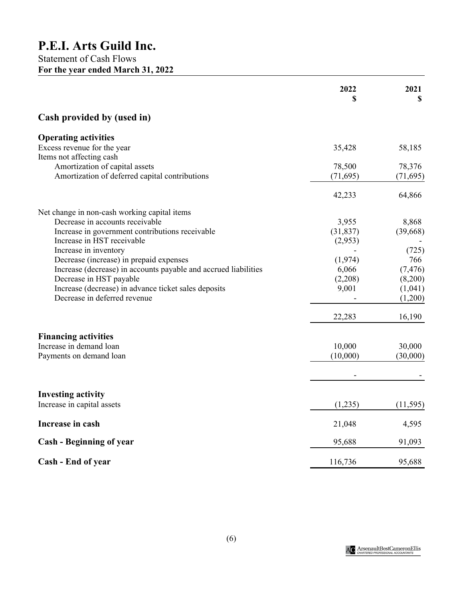|                                                                 | 2022<br>S | 2021<br>S |
|-----------------------------------------------------------------|-----------|-----------|
| Cash provided by (used in)                                      |           |           |
| <b>Operating activities</b>                                     |           |           |
| Excess revenue for the year                                     | 35,428    | 58,185    |
| Items not affecting cash<br>Amortization of capital assets      | 78,500    | 78,376    |
| Amortization of deferred capital contributions                  | (71, 695) | (71, 695) |
|                                                                 | 42,233    | 64,866    |
| Net change in non-cash working capital items                    |           |           |
| Decrease in accounts receivable                                 | 3,955     | 8,868     |
| Increase in government contributions receivable                 | (31, 837) | (39,668)  |
| Increase in HST receivable<br>Increase in inventory             | (2,953)   | (725)     |
| Decrease (increase) in prepaid expenses                         | (1,974)   | 766       |
| Increase (decrease) in accounts payable and accrued liabilities | 6,066     | (7, 476)  |
| Decrease in HST payable                                         | (2,208)   | (8,200)   |
| Increase (decrease) in advance ticket sales deposits            | 9,001     | (1,041)   |
| Decrease in deferred revenue                                    |           | (1,200)   |
|                                                                 | 22,283    | 16,190    |
| <b>Financing activities</b>                                     |           |           |
| Increase in demand loan                                         | 10,000    | 30,000    |
| Payments on demand loan                                         | (10,000)  | (30,000)  |
|                                                                 |           |           |
| <b>Investing activity</b>                                       |           |           |
| Increase in capital assets                                      | (1,235)   | (11, 595) |
| Increase in cash                                                | 21,048    | 4,595     |
| <b>Cash - Beginning of year</b>                                 | 95,688    | 91,093    |
| Cash - End of year                                              | 116,736   | 95,688    |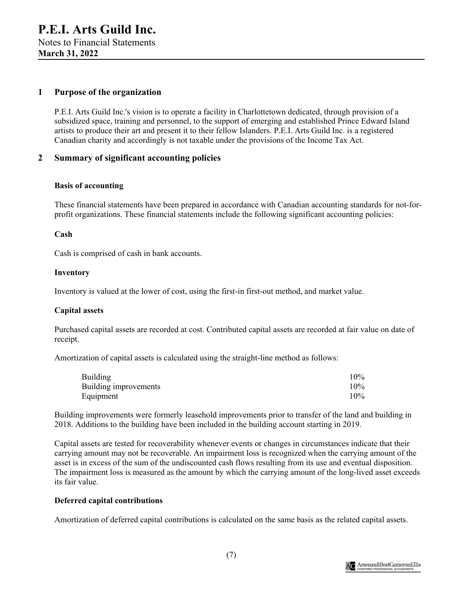#### **1 Purpose of the organization**

P.E.I. Arts Guild Inc.'s vision is to operate a facility in Charlottetown dedicated, through provision of a subsidized space, training and personnel, to the support of emerging and established Prince Edward Island artists to produce their art and present it to their fellow Islanders. P.E.I. Arts Guild Inc. is a registered Canadian charity and accordingly is not taxable under the provisions of the Income Tax Act.

#### **2 Summary of significant accounting policies**

#### **Basis of accounting**

These financial statements have been prepared in accordance with Canadian accounting standards for not-forprofit organizations. These financial statements include the following significant accounting policies:

#### **Cash**

Cash is comprised of cash in bank accounts.

#### **Inventory**

Inventory is valued at the lower of cost, using the first-in first-out method, and market value.

#### **Capital assets**

Purchased capital assets are recorded at cost. Contributed capital assets are recorded at fair value on date of receipt.

Amortization of capital assets is calculated using the straight-line method as follows:

| <b>Building</b>       | $10\%$ |
|-----------------------|--------|
| Building improvements | $10\%$ |
| Equipment             | 10%    |

Building improvements were formerly leasehold improvements prior to transfer of the land and building in 2018. Additions to the building have been included in the building account starting in 2019.

Capital assets are tested for recoverability whenever events or changes in circumstances indicate that their carrying amount may not be recoverable. An impairment loss is recognized when the carrying amount of the asset is in excess of the sum of the undiscounted cash flows resulting from its use and eventual disposition. The impairment loss is measured as the amount by which the carrying amount of the long-lived asset exceeds its fair value.

#### **Deferred capital contributions**

Amortization of deferred capital contributions is calculated on the same basis as the related capital assets.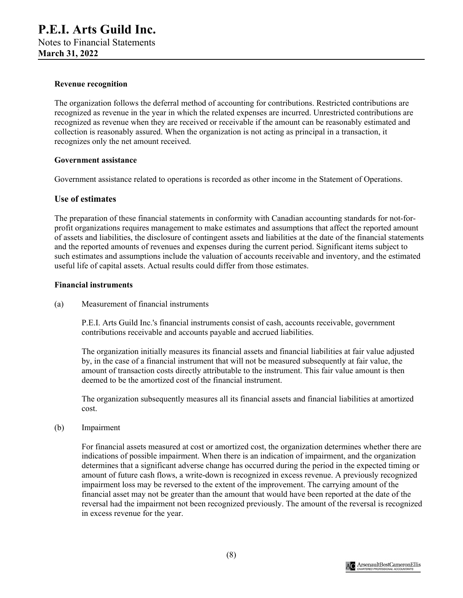#### **Revenue recognition**

The organization follows the deferral method of accounting for contributions. Restricted contributions are recognized as revenue in the year in which the related expenses are incurred. Unrestricted contributions are recognized as revenue when they are received or receivable if the amount can be reasonably estimated and collection is reasonably assured. When the organization is not acting as principal in a transaction, it recognizes only the net amount received.

#### **Government assistance**

Government assistance related to operations is recorded as other income in the Statement of Operations.

#### **Use of estimates**

The preparation of these financial statements in conformity with Canadian accounting standards for not-forprofit organizations requires management to make estimates and assumptions that affect the reported amount of assets and liabilities, the disclosure of contingent assets and liabilities at the date of the financial statements and the reported amounts of revenues and expenses during the current period. Significant items subject to such estimates and assumptions include the valuation of accounts receivable and inventory, and the estimated useful life of capital assets. Actual results could differ from those estimates.

#### **Financial instruments**

(a) Measurement of financial instruments

P.E.I. Arts Guild Inc.'s financial instruments consist of cash, accounts receivable, government contributions receivable and accounts payable and accrued liabilities.

The organization initially measures its financial assets and financial liabilities at fair value adjusted by, in the case of a financial instrument that will not be measured subsequently at fair value, the amount of transaction costs directly attributable to the instrument. This fair value amount is then deemed to be the amortized cost of the financial instrument.

The organization subsequently measures all its financial assets and financial liabilities at amortized cost.

(b) Impairment

For financial assets measured at cost or amortized cost, the organization determines whether there are indications of possible impairment. When there is an indication of impairment, and the organization determines that a significant adverse change has occurred during the period in the expected timing or amount of future cash flows, a write-down is recognized in excess revenue. A previously recognized impairment loss may be reversed to the extent of the improvement. The carrying amount of the financial asset may not be greater than the amount that would have been reported at the date of the reversal had the impairment not been recognized previously. The amount of the reversal is recognized in excess revenue for the year.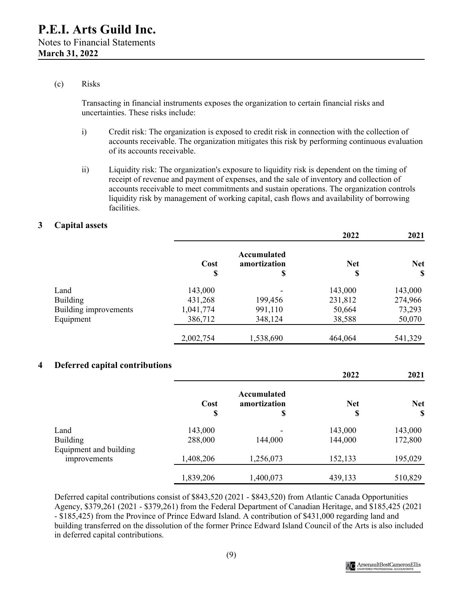#### (c) Risks

Transacting in financial instruments exposes the organization to certain financial risks and uncertainties. These risks include:

- i) Credit risk: The organization is exposed to credit risk in connection with the collection of accounts receivable. The organization mitigates this risk by performing continuous evaluation of its accounts receivable.
- ii) Liquidity risk: The organization's exposure to liquidity risk is dependent on the timing of receipt of revenue and payment of expenses, and the sale of inventory and collection of accounts receivable to meet commitments and sustain operations. The organization controls liquidity risk by management of working capital, cash flows and availability of borrowing facilities.

#### **3 Capital assets**

|                       |           |                             | 2022       | 2021         |
|-----------------------|-----------|-----------------------------|------------|--------------|
|                       | Cost      | Accumulated<br>amortization | <b>Net</b> | <b>Net</b>   |
|                       | \$        | S                           | S          | $\mathbb{S}$ |
| Land                  | 143,000   |                             | 143,000    | 143,000      |
| <b>Building</b>       | 431,268   | 199,456                     | 231,812    | 274,966      |
| Building improvements | 1,041,774 | 991,110                     | 50,664     | 73,293       |
| Equipment             | 386,712   | 348,124                     | 38,588     | 50,070       |
|                       | 2,002,754 | 1,538,690                   | 464,064    | 541,329      |

#### **4 Deferred capital contributions**

|                        |            |                                   | 2022             | 2021             |
|------------------------|------------|-----------------------------------|------------------|------------------|
|                        | Cost<br>\$ | Accumulated<br>amortization<br>\$ | <b>Net</b><br>\$ | <b>Net</b><br>\$ |
|                        |            |                                   |                  |                  |
| Land                   | 143,000    |                                   | 143,000          | 143,000          |
| <b>Building</b>        | 288,000    | 144,000                           | 144,000          | 172,800          |
| Equipment and building |            |                                   |                  |                  |
| improvements           | 1,408,206  | 1,256,073                         | 152,133          | 195,029          |
|                        |            |                                   |                  |                  |
|                        | 1,839,206  | 1,400,073                         | 439,133          | 510,829          |

Deferred capital contributions consist of \$843,520 (2021 - \$843,520) from Atlantic Canada Opportunities Agency, \$379,261 (2021 - \$379,261) from the Federal Department of Canadian Heritage, and \$185,425 (2021 - \$185,425) from the Province of Prince Edward Island. A contribution of \$431,000 regarding land and building transferred on the dissolution of the former Prince Edward Island Council of the Arts is also included in deferred capital contributions.